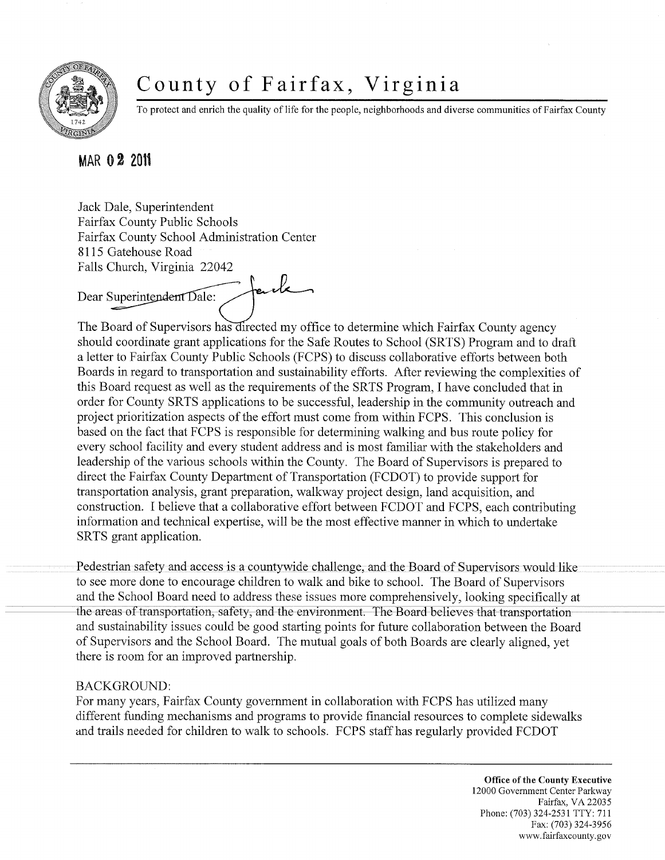

## County of Fairfax, Virginia

To protect and enrich the quality of life for the people, neighborhoods and diverse communities of Fairfax County

## **MAR 0 2** 2011

Jack Dale, Superintendent Fairfax County Public Schools Fairfax County School Administration Center 8115 Gatehouse Road Falls Church, Virginia 22042

fack Dear Superintendent Dale:

The Board of Supervisors has directed my office to determine which Fairfax County agency should coordinate grant applications for the Safe Routes to School (SRTS) Program and to draft a letter to Fairfax County Public Schools (FCPS) to discuss collaborative efforts between both Boards in regard to transportation and sustainability efforts. After reviewing the complexities of this Board request as well as the requirements of the SRTS Program, I have concluded that in order for County SRTS applications to be successful, leadership in the community outreach and project prioritization aspects of the effort must come from within FCPS. This conclusion is based on the fact that FCPS is responsible for determining walking and bus route policy for every school facility and every student address and is most familiar with the stakeholders and leadership of the various schools within the County. The Board of Supervisors is prepared to direct the Fairfax County Department of Transportation (FCDOT) to provide support for transportation analysis, grant preparation, walkway project design, land acquisition, and construction. I believe that a collaborative effort between FCDOT and FCPS, each contributing information and technical expertise, will be the most effective manner in which to undertake SRTS grant application.

Pedestrian safety and access is a countywide challenge, and the Board of Supervisors would like to see more done to encourage children to walk and bike to school. The Board of Supervisors and the School Board need to address these issues more comprehensively, looking specifically at the areas of transportation, safety, and the environment. The Board believes that transportation and sustainability issues could be good starting points for future collaboration between the Board of Supervisors and the School Board. The mutual goals of both Boards are clearly aligned, yet there is room for an improved partnership.

## BACKGROUND:

For many years, Fairfax County government in collaboration with FCPS has utilized many different funding mechanisms and programs to provide financial resources to complete sidewalks and trails needed for children to walk to schools. FCPS staff has regularly provided FCDOT

> **Office of the County Executive**  12000 Government Center Parkway Fairfax, VA 22035 Phone: (703) 324-2531 TTY: 711 Fax: (703) 324-3956 www. fairfaxcounty. gov